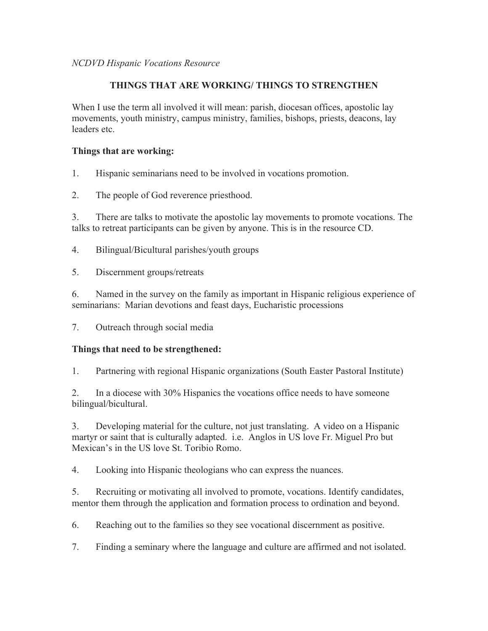## **THINGS THAT ARE WORKING/ THINGS TO STRENGTHEN**

When I use the term all involved it will mean: parish, diocesan offices, apostolic lay movements, youth ministry, campus ministry, families, bishops, priests, deacons, lay leaders etc.

## **Things that are working:**

- 1. Hispanic seminarians need to be involved in vocations promotion.
- 2. The people of God reverence priesthood.

3. There are talks to motivate the apostolic lay movements to promote vocations. The talks to retreat participants can be given by anyone. This is in the resource CD.

- 4. Bilingual/Bicultural parishes/youth groups
- 5. Discernment groups/retreats

6. Named in the survey on the family as important in Hispanic religious experience of seminarians: Marian devotions and feast days, Eucharistic processions

7. Outreach through social media

## **Things that need to be strengthened:**

1. Partnering with regional Hispanic organizations (South Easter Pastoral Institute)

2. In a diocese with 30% Hispanics the vocations office needs to have someone bilingual/bicultural.

3. Developing material for the culture, not just translating. A video on a Hispanic martyr or saint that is culturally adapted. i.e. Anglos in US love Fr. Miguel Pro but Mexican's in the US love St. Toribio Romo.

4. Looking into Hispanic theologians who can express the nuances.

5. Recruiting or motivating all involved to promote, vocations. Identify candidates, mentor them through the application and formation process to ordination and beyond.

6. Reaching out to the families so they see vocational discernment as positive.

7. Finding a seminary where the language and culture are affirmed and not isolated.